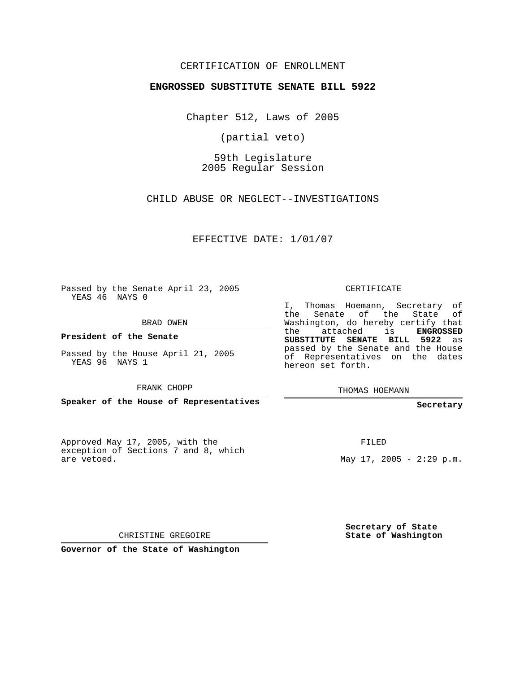## CERTIFICATION OF ENROLLMENT

### **ENGROSSED SUBSTITUTE SENATE BILL 5922**

Chapter 512, Laws of 2005

(partial veto)

59th Legislature 2005 Regular Session

CHILD ABUSE OR NEGLECT--INVESTIGATIONS

EFFECTIVE DATE: 1/01/07

Passed by the Senate April 23, 2005 YEAS 46 NAYS 0

BRAD OWEN

**President of the Senate**

Passed by the House April 21, 2005 YEAS 96 NAYS 1

FRANK CHOPP

**Speaker of the House of Representatives**

Approved May 17, 2005, with the exception of Sections 7 and 8, which are vetoed.

CERTIFICATE

I, Thomas Hoemann, Secretary of the Senate of the State of Washington, do hereby certify that the attached is **ENGROSSED SUBSTITUTE SENATE BILL 5922** as passed by the Senate and the House of Representatives on the dates hereon set forth.

THOMAS HOEMANN

#### **Secretary**

FILED

May  $17, 2005 - 2:29 \text{ p.m.}$ 

**Secretary of State State of Washington**

CHRISTINE GREGOIRE

**Governor of the State of Washington**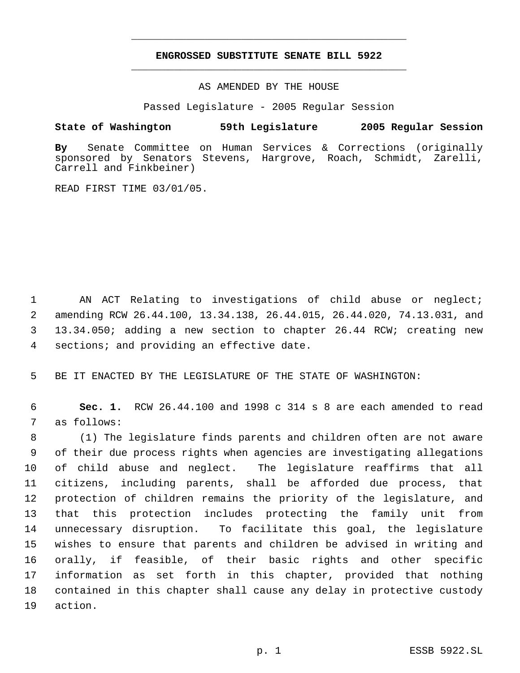# **ENGROSSED SUBSTITUTE SENATE BILL 5922** \_\_\_\_\_\_\_\_\_\_\_\_\_\_\_\_\_\_\_\_\_\_\_\_\_\_\_\_\_\_\_\_\_\_\_\_\_\_\_\_\_\_\_\_\_

\_\_\_\_\_\_\_\_\_\_\_\_\_\_\_\_\_\_\_\_\_\_\_\_\_\_\_\_\_\_\_\_\_\_\_\_\_\_\_\_\_\_\_\_\_

AS AMENDED BY THE HOUSE

Passed Legislature - 2005 Regular Session

### **State of Washington 59th Legislature 2005 Regular Session**

**By** Senate Committee on Human Services & Corrections (originally sponsored by Senators Stevens, Hargrove, Roach, Schmidt, Zarelli, Carrell and Finkbeiner)

READ FIRST TIME 03/01/05.

 AN ACT Relating to investigations of child abuse or neglect; amending RCW 26.44.100, 13.34.138, 26.44.015, 26.44.020, 74.13.031, and 13.34.050; adding a new section to chapter 26.44 RCW; creating new sections; and providing an effective date.

BE IT ENACTED BY THE LEGISLATURE OF THE STATE OF WASHINGTON:

 **Sec. 1.** RCW 26.44.100 and 1998 c 314 s 8 are each amended to read as follows:

 (1) The legislature finds parents and children often are not aware of their due process rights when agencies are investigating allegations of child abuse and neglect. The legislature reaffirms that all citizens, including parents, shall be afforded due process, that protection of children remains the priority of the legislature, and that this protection includes protecting the family unit from unnecessary disruption. To facilitate this goal, the legislature wishes to ensure that parents and children be advised in writing and orally, if feasible, of their basic rights and other specific information as set forth in this chapter, provided that nothing contained in this chapter shall cause any delay in protective custody action.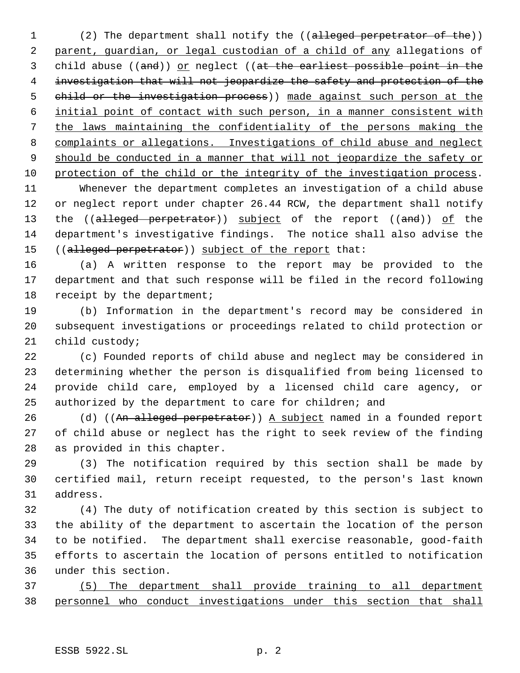1 (2) The department shall notify the ((alleged perpetrator of the)) parent, guardian, or legal custodian of a child of any allegations of 3 child abuse ((and)) or neglect ((at the earliest possible point in the investigation that will not jeopardize the safety and protection of the child or the investigation process)) made against such person at the initial point of contact with such person, in a manner consistent with the laws maintaining the confidentiality of the persons making the complaints or allegations. Investigations of child abuse and neglect 9 should be conducted in a manner that will not jeopardize the safety or protection of the child or the integrity of the investigation process.

 Whenever the department completes an investigation of a child abuse or neglect report under chapter 26.44 RCW, the department shall notify 13 the ((alleged perpetrator)) subject of the report ((and)) of the department's investigative findings. The notice shall also advise the 15 ((alleged perpetrator)) subject of the report that:

 (a) A written response to the report may be provided to the department and that such response will be filed in the record following 18 receipt by the department;

 (b) Information in the department's record may be considered in subsequent investigations or proceedings related to child protection or child custody;

 (c) Founded reports of child abuse and neglect may be considered in determining whether the person is disqualified from being licensed to provide child care, employed by a licensed child care agency, or authorized by the department to care for children; and

26 (d) ((An alleged perpetrator)) A subject named in a founded report of child abuse or neglect has the right to seek review of the finding as provided in this chapter.

 (3) The notification required by this section shall be made by certified mail, return receipt requested, to the person's last known address.

 (4) The duty of notification created by this section is subject to the ability of the department to ascertain the location of the person to be notified. The department shall exercise reasonable, good-faith efforts to ascertain the location of persons entitled to notification under this section.

 (5) The department shall provide training to all department personnel who conduct investigations under this section that shall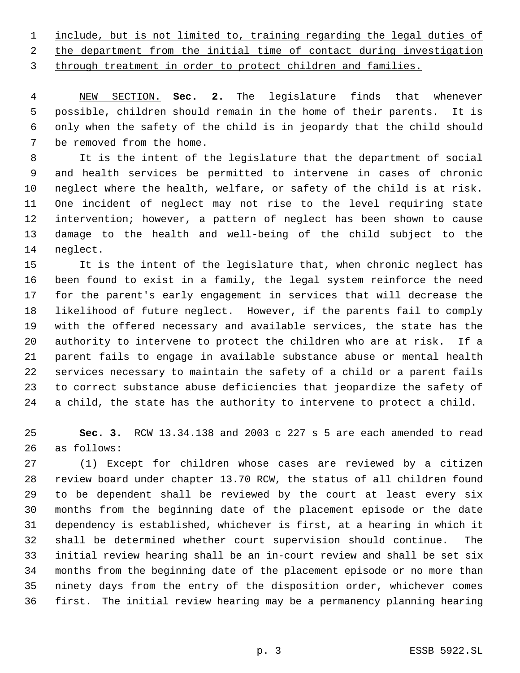include, but is not limited to, training regarding the legal duties of

2 the department from the initial time of contact during investigation through treatment in order to protect children and families.

 NEW SECTION. **Sec. 2.** The legislature finds that whenever possible, children should remain in the home of their parents. It is only when the safety of the child is in jeopardy that the child should be removed from the home.

 It is the intent of the legislature that the department of social and health services be permitted to intervene in cases of chronic neglect where the health, welfare, or safety of the child is at risk. One incident of neglect may not rise to the level requiring state intervention; however, a pattern of neglect has been shown to cause damage to the health and well-being of the child subject to the neglect.

 It is the intent of the legislature that, when chronic neglect has been found to exist in a family, the legal system reinforce the need for the parent's early engagement in services that will decrease the likelihood of future neglect. However, if the parents fail to comply with the offered necessary and available services, the state has the authority to intervene to protect the children who are at risk. If a parent fails to engage in available substance abuse or mental health services necessary to maintain the safety of a child or a parent fails to correct substance abuse deficiencies that jeopardize the safety of a child, the state has the authority to intervene to protect a child.

 **Sec. 3.** RCW 13.34.138 and 2003 c 227 s 5 are each amended to read as follows:

 (1) Except for children whose cases are reviewed by a citizen review board under chapter 13.70 RCW, the status of all children found to be dependent shall be reviewed by the court at least every six months from the beginning date of the placement episode or the date dependency is established, whichever is first, at a hearing in which it shall be determined whether court supervision should continue. The initial review hearing shall be an in-court review and shall be set six months from the beginning date of the placement episode or no more than ninety days from the entry of the disposition order, whichever comes first. The initial review hearing may be a permanency planning hearing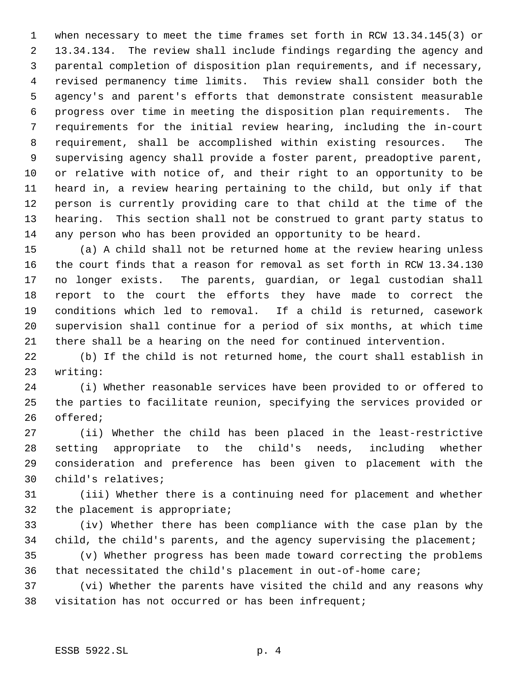when necessary to meet the time frames set forth in RCW 13.34.145(3) or 13.34.134. The review shall include findings regarding the agency and parental completion of disposition plan requirements, and if necessary, revised permanency time limits. This review shall consider both the agency's and parent's efforts that demonstrate consistent measurable progress over time in meeting the disposition plan requirements. The requirements for the initial review hearing, including the in-court requirement, shall be accomplished within existing resources. The supervising agency shall provide a foster parent, preadoptive parent, or relative with notice of, and their right to an opportunity to be heard in, a review hearing pertaining to the child, but only if that person is currently providing care to that child at the time of the hearing. This section shall not be construed to grant party status to any person who has been provided an opportunity to be heard.

 (a) A child shall not be returned home at the review hearing unless the court finds that a reason for removal as set forth in RCW 13.34.130 no longer exists. The parents, guardian, or legal custodian shall report to the court the efforts they have made to correct the conditions which led to removal. If a child is returned, casework supervision shall continue for a period of six months, at which time there shall be a hearing on the need for continued intervention.

 (b) If the child is not returned home, the court shall establish in writing:

 (i) Whether reasonable services have been provided to or offered to the parties to facilitate reunion, specifying the services provided or offered;

 (ii) Whether the child has been placed in the least-restrictive setting appropriate to the child's needs, including whether consideration and preference has been given to placement with the child's relatives;

 (iii) Whether there is a continuing need for placement and whether the placement is appropriate;

 (iv) Whether there has been compliance with the case plan by the child, the child's parents, and the agency supervising the placement;

 (v) Whether progress has been made toward correcting the problems that necessitated the child's placement in out-of-home care;

 (vi) Whether the parents have visited the child and any reasons why visitation has not occurred or has been infrequent;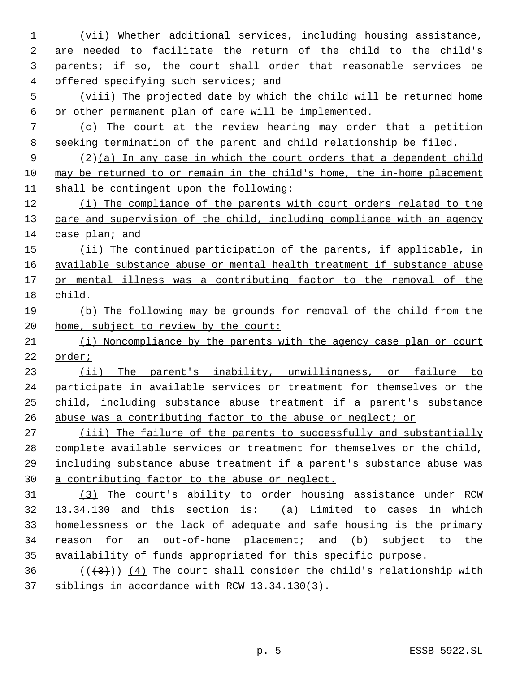(vii) Whether additional services, including housing assistance, are needed to facilitate the return of the child to the child's parents; if so, the court shall order that reasonable services be offered specifying such services; and

 (viii) The projected date by which the child will be returned home or other permanent plan of care will be implemented.

 (c) The court at the review hearing may order that a petition seeking termination of the parent and child relationship be filed.

 (2)(a) In any case in which the court orders that a dependent child may be returned to or remain in the child's home, the in-home placement shall be contingent upon the following:

 (i) The compliance of the parents with court orders related to the 13 care and supervision of the child, including compliance with an agency case plan; and

15 (ii) The continued participation of the parents, if applicable, in available substance abuse or mental health treatment if substance abuse 17 or mental illness was a contributing factor to the removal of the child.

 (b) The following may be grounds for removal of the child from the 20 home, subject to review by the court:

 (i) Noncompliance by the parents with the agency case plan or court order;

23 (ii) The parent's inability, unwillingness, or failure to 24 participate in available services or treatment for themselves or the child, including substance abuse treatment if a parent's substance abuse was a contributing factor to the abuse or neglect; or

27 (iii) The failure of the parents to successfully and substantially complete available services or treatment for themselves or the child, including substance abuse treatment if a parent's substance abuse was a contributing factor to the abuse or neglect.

 (3) The court's ability to order housing assistance under RCW 13.34.130 and this section is: (a) Limited to cases in which homelessness or the lack of adequate and safe housing is the primary reason for an out-of-home placement; and (b) subject to the availability of funds appropriated for this specific purpose.

36  $((+3))$  (4) The court shall consider the child's relationship with siblings in accordance with RCW 13.34.130(3).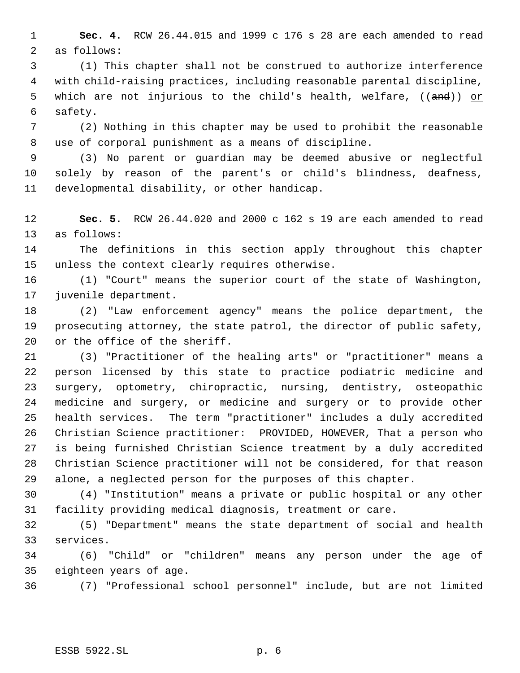**Sec. 4.** RCW 26.44.015 and 1999 c 176 s 28 are each amended to read as follows:

 (1) This chapter shall not be construed to authorize interference with child-raising practices, including reasonable parental discipline, 5 which are not injurious to the child's health, welfare, ((and)) or safety.

 (2) Nothing in this chapter may be used to prohibit the reasonable use of corporal punishment as a means of discipline.

 (3) No parent or guardian may be deemed abusive or neglectful solely by reason of the parent's or child's blindness, deafness, developmental disability, or other handicap.

 **Sec. 5.** RCW 26.44.020 and 2000 c 162 s 19 are each amended to read as follows:

 The definitions in this section apply throughout this chapter unless the context clearly requires otherwise.

 (1) "Court" means the superior court of the state of Washington, juvenile department.

 (2) "Law enforcement agency" means the police department, the prosecuting attorney, the state patrol, the director of public safety, or the office of the sheriff.

 (3) "Practitioner of the healing arts" or "practitioner" means a person licensed by this state to practice podiatric medicine and surgery, optometry, chiropractic, nursing, dentistry, osteopathic medicine and surgery, or medicine and surgery or to provide other health services. The term "practitioner" includes a duly accredited Christian Science practitioner: PROVIDED, HOWEVER, That a person who is being furnished Christian Science treatment by a duly accredited Christian Science practitioner will not be considered, for that reason alone, a neglected person for the purposes of this chapter.

 (4) "Institution" means a private or public hospital or any other facility providing medical diagnosis, treatment or care.

 (5) "Department" means the state department of social and health services.

 (6) "Child" or "children" means any person under the age of eighteen years of age.

(7) "Professional school personnel" include, but are not limited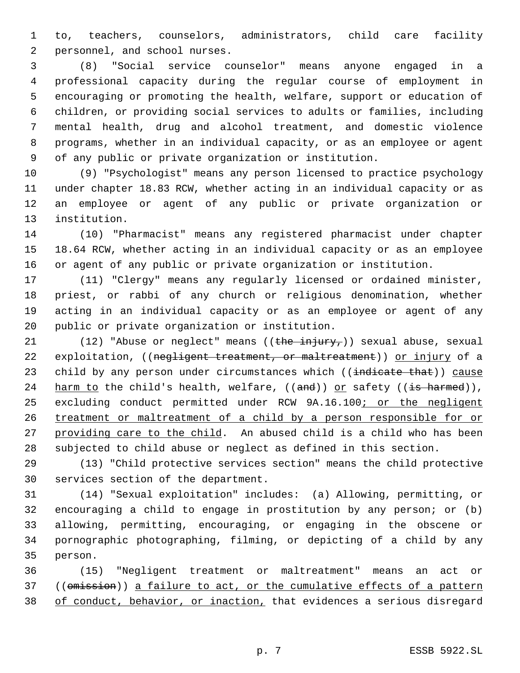to, teachers, counselors, administrators, child care facility personnel, and school nurses.

 (8) "Social service counselor" means anyone engaged in a professional capacity during the regular course of employment in encouraging or promoting the health, welfare, support or education of children, or providing social services to adults or families, including mental health, drug and alcohol treatment, and domestic violence programs, whether in an individual capacity, or as an employee or agent of any public or private organization or institution.

 (9) "Psychologist" means any person licensed to practice psychology under chapter 18.83 RCW, whether acting in an individual capacity or as an employee or agent of any public or private organization or institution.

 (10) "Pharmacist" means any registered pharmacist under chapter 18.64 RCW, whether acting in an individual capacity or as an employee or agent of any public or private organization or institution.

 (11) "Clergy" means any regularly licensed or ordained minister, priest, or rabbi of any church or religious denomination, whether acting in an individual capacity or as an employee or agent of any public or private organization or institution.

21 (12) "Abuse or neglect" means  $((\text{the injury}_t))$  sexual abuse, sexual 22 exploitation, ((negligent treatment, or maltreatment)) or injury of a 23 child by any person under circumstances which ((indicate that)) cause 24 harm to the child's health, welfare,  $((and))$  or safety  $((\frac{1}{18} \text{ harmed})),$ 25 excluding conduct permitted under RCW 9A.16.100; or the negligent treatment or maltreatment of a child by a person responsible for or providing care to the child. An abused child is a child who has been subjected to child abuse or neglect as defined in this section.

 (13) "Child protective services section" means the child protective services section of the department.

 (14) "Sexual exploitation" includes: (a) Allowing, permitting, or encouraging a child to engage in prostitution by any person; or (b) allowing, permitting, encouraging, or engaging in the obscene or pornographic photographing, filming, or depicting of a child by any person.

 (15) "Negligent treatment or maltreatment" means an act or 37 ((omission)) a failure to act, or the cumulative effects of a pattern 38 of conduct, behavior, or inaction, that evidences a serious disregard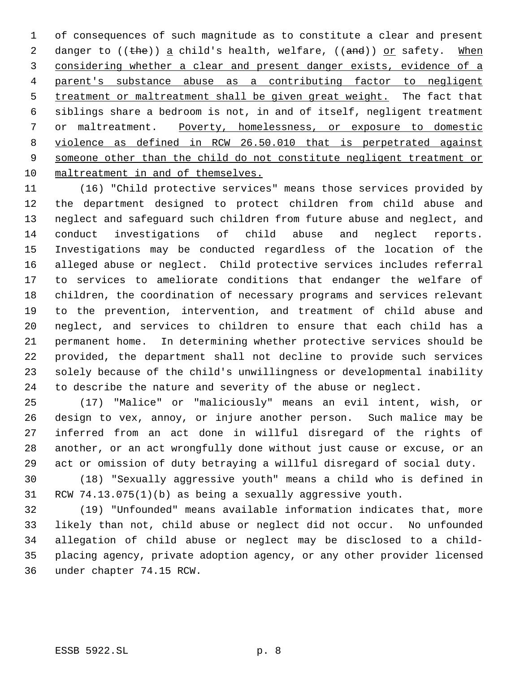of consequences of such magnitude as to constitute a clear and present 2 danger to ((the)) a child's health, welfare, ((and)) or safety. When considering whether a clear and present danger exists, evidence of a parent's substance abuse as a contributing factor to negligent 5 treatment or maltreatment shall be given great weight. The fact that siblings share a bedroom is not, in and of itself, negligent treatment or maltreatment. Poverty, homelessness, or exposure to domestic violence as defined in RCW 26.50.010 that is perpetrated against someone other than the child do not constitute negligent treatment or maltreatment in and of themselves.

 (16) "Child protective services" means those services provided by the department designed to protect children from child abuse and neglect and safeguard such children from future abuse and neglect, and conduct investigations of child abuse and neglect reports. Investigations may be conducted regardless of the location of the alleged abuse or neglect. Child protective services includes referral to services to ameliorate conditions that endanger the welfare of children, the coordination of necessary programs and services relevant to the prevention, intervention, and treatment of child abuse and neglect, and services to children to ensure that each child has a permanent home. In determining whether protective services should be provided, the department shall not decline to provide such services solely because of the child's unwillingness or developmental inability to describe the nature and severity of the abuse or neglect.

 (17) "Malice" or "maliciously" means an evil intent, wish, or design to vex, annoy, or injure another person. Such malice may be inferred from an act done in willful disregard of the rights of another, or an act wrongfully done without just cause or excuse, or an act or omission of duty betraying a willful disregard of social duty.

 (18) "Sexually aggressive youth" means a child who is defined in RCW 74.13.075(1)(b) as being a sexually aggressive youth.

 (19) "Unfounded" means available information indicates that, more likely than not, child abuse or neglect did not occur. No unfounded allegation of child abuse or neglect may be disclosed to a child- placing agency, private adoption agency, or any other provider licensed under chapter 74.15 RCW.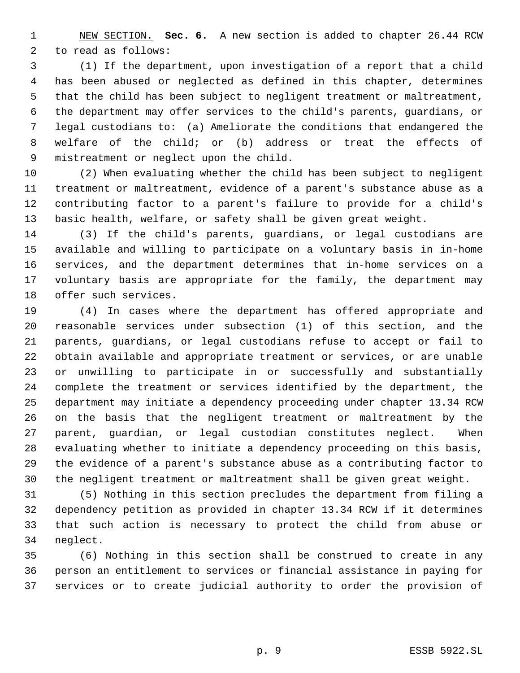NEW SECTION. **Sec. 6.** A new section is added to chapter 26.44 RCW to read as follows:

 (1) If the department, upon investigation of a report that a child has been abused or neglected as defined in this chapter, determines that the child has been subject to negligent treatment or maltreatment, the department may offer services to the child's parents, guardians, or legal custodians to: (a) Ameliorate the conditions that endangered the welfare of the child; or (b) address or treat the effects of mistreatment or neglect upon the child.

 (2) When evaluating whether the child has been subject to negligent treatment or maltreatment, evidence of a parent's substance abuse as a contributing factor to a parent's failure to provide for a child's basic health, welfare, or safety shall be given great weight.

 (3) If the child's parents, guardians, or legal custodians are available and willing to participate on a voluntary basis in in-home services, and the department determines that in-home services on a voluntary basis are appropriate for the family, the department may offer such services.

 (4) In cases where the department has offered appropriate and reasonable services under subsection (1) of this section, and the parents, guardians, or legal custodians refuse to accept or fail to obtain available and appropriate treatment or services, or are unable or unwilling to participate in or successfully and substantially complete the treatment or services identified by the department, the department may initiate a dependency proceeding under chapter 13.34 RCW on the basis that the negligent treatment or maltreatment by the parent, guardian, or legal custodian constitutes neglect. When evaluating whether to initiate a dependency proceeding on this basis, the evidence of a parent's substance abuse as a contributing factor to the negligent treatment or maltreatment shall be given great weight.

 (5) Nothing in this section precludes the department from filing a dependency petition as provided in chapter 13.34 RCW if it determines that such action is necessary to protect the child from abuse or neglect.

 (6) Nothing in this section shall be construed to create in any person an entitlement to services or financial assistance in paying for services or to create judicial authority to order the provision of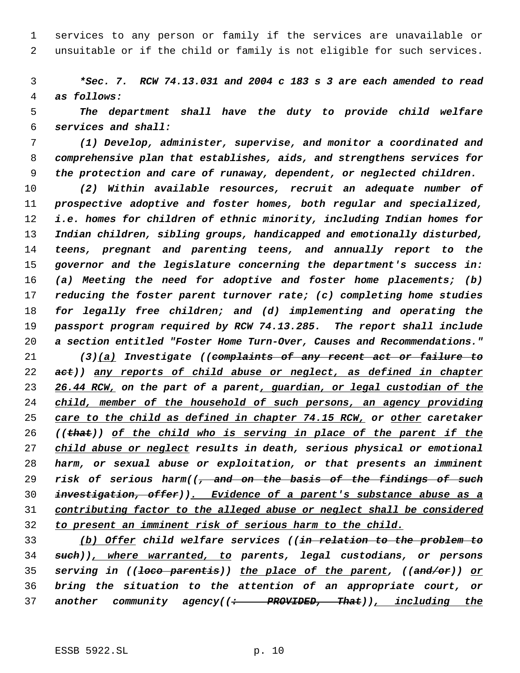services to any person or family if the services are unavailable or unsuitable or if the child or family is not eligible for such services.

 *\*Sec. 7. RCW 74.13.031 and 2004 c 183 s 3 are each amended to read as follows:*

 *The department shall have the duty to provide child welfare services and shall:*

 *(1) Develop, administer, supervise, and monitor a coordinated and comprehensive plan that establishes, aids, and strengthens services for the protection and care of runaway, dependent, or neglected children.*

 *(2) Within available resources, recruit an adequate number of prospective adoptive and foster homes, both regular and specialized, i.e. homes for children of ethnic minority, including Indian homes for Indian children, sibling groups, handicapped and emotionally disturbed, teens, pregnant and parenting teens, and annually report to the governor and the legislature concerning the department's success in: (a) Meeting the need for adoptive and foster home placements; (b) reducing the foster parent turnover rate; (c) completing home studies for legally free children; and (d) implementing and operating the passport program required by RCW 74.13.285. The report shall include a section entitled "Foster Home Turn-Over, Causes and Recommendations."*

 *(3)(a) Investigate ((complaints of any recent act or failure to act)) any reports of child abuse or neglect, as defined in chapter 26.44 RCW, on the part of a parent, guardian, or legal custodian of the child, member of the household of such persons, an agency providing care to the child as defined in chapter 74.15 RCW, or other caretaker ((that)) of the child who is serving in place of the parent if the child abuse or neglect results in death, serious physical or emotional harm, or sexual abuse or exploitation, or that presents an imminent risk of serious harm((, and on the basis of the findings of such investigation, offer)). Evidence of a parent's substance abuse as a contributing factor to the alleged abuse or neglect shall be considered to present an imminent risk of serious harm to the child.*

 *(b) Offer child welfare services ((in relation to the problem to such)), where warranted, to parents, legal custodians, or persons serving in ((loco parentis)) the place of the parent, ((and/or)) or bring the situation to the attention of an appropriate court, or another community agency((: PROVIDED, That)), including the*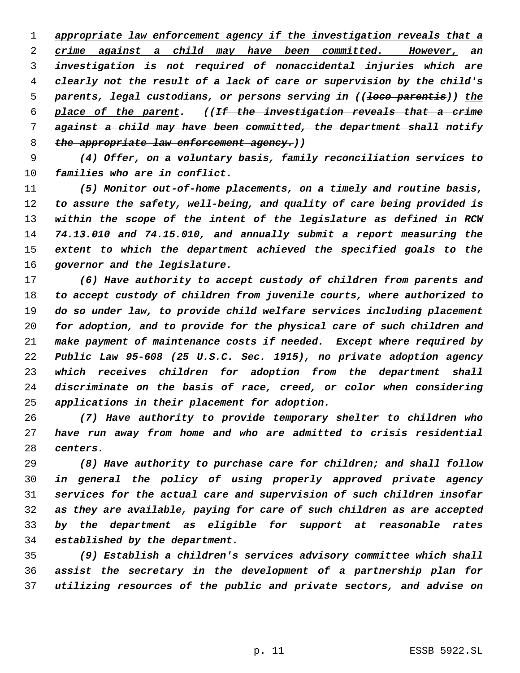*appropriate law enforcement agency if the investigation reveals that a crime against a child may have been committed. However, an investigation is not required of nonaccidental injuries which are clearly not the result of a lack of care or supervision by the child's parents, legal custodians, or persons serving in ((loco parentis)) the place of the parent. ((If the investigation reveals that a crime against a child may have been committed, the department shall notify the appropriate law enforcement agency.))*

 *(4) Offer, on a voluntary basis, family reconciliation services to families who are in conflict.*

 *(5) Monitor out-of-home placements, on a timely and routine basis, to assure the safety, well-being, and quality of care being provided is within the scope of the intent of the legislature as defined in RCW 74.13.010 and 74.15.010, and annually submit a report measuring the extent to which the department achieved the specified goals to the governor and the legislature.*

 *(6) Have authority to accept custody of children from parents and to accept custody of children from juvenile courts, where authorized to do so under law, to provide child welfare services including placement for adoption, and to provide for the physical care of such children and make payment of maintenance costs if needed. Except where required by Public Law 95-608 (25 U.S.C. Sec. 1915), no private adoption agency which receives children for adoption from the department shall discriminate on the basis of race, creed, or color when considering applications in their placement for adoption.*

 *(7) Have authority to provide temporary shelter to children who have run away from home and who are admitted to crisis residential centers.*

 *(8) Have authority to purchase care for children; and shall follow in general the policy of using properly approved private agency services for the actual care and supervision of such children insofar as they are available, paying for care of such children as are accepted by the department as eligible for support at reasonable rates established by the department.*

 *(9) Establish a children's services advisory committee which shall assist the secretary in the development of a partnership plan for utilizing resources of the public and private sectors, and advise on*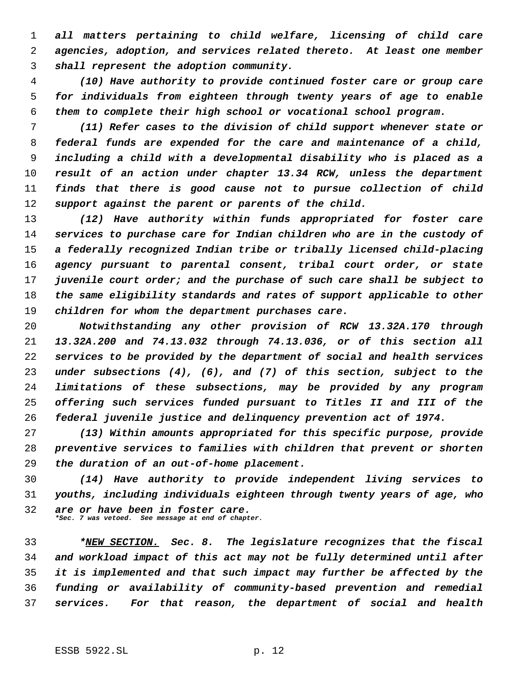*all matters pertaining to child welfare, licensing of child care agencies, adoption, and services related thereto. At least one member shall represent the adoption community.*

 *(10) Have authority to provide continued foster care or group care for individuals from eighteen through twenty years of age to enable them to complete their high school or vocational school program.*

 *(11) Refer cases to the division of child support whenever state or federal funds are expended for the care and maintenance of a child, including a child with a developmental disability who is placed as a result of an action under chapter 13.34 RCW, unless the department finds that there is good cause not to pursue collection of child support against the parent or parents of the child.*

 *(12) Have authority within funds appropriated for foster care services to purchase care for Indian children who are in the custody of a federally recognized Indian tribe or tribally licensed child-placing agency pursuant to parental consent, tribal court order, or state juvenile court order; and the purchase of such care shall be subject to the same eligibility standards and rates of support applicable to other children for whom the department purchases care.*

 *Notwithstanding any other provision of RCW 13.32A.170 through 13.32A.200 and 74.13.032 through 74.13.036, or of this section all services to be provided by the department of social and health services under subsections (4), (6), and (7) of this section, subject to the limitations of these subsections, may be provided by any program offering such services funded pursuant to Titles II and III of the federal juvenile justice and delinquency prevention act of 1974.*

 *(13) Within amounts appropriated for this specific purpose, provide preventive services to families with children that prevent or shorten the duration of an out-of-home placement.*

 *(14) Have authority to provide independent living services to youths, including individuals eighteen through twenty years of age, who are or have been in foster care. \*Sec. 7 was vetoed. See message at end of chapter.*

 *\*NEW SECTION. Sec. 8. The legislature recognizes that the fiscal and workload impact of this act may not be fully determined until after it is implemented and that such impact may further be affected by the funding or availability of community-based prevention and remedial services. For that reason, the department of social and health*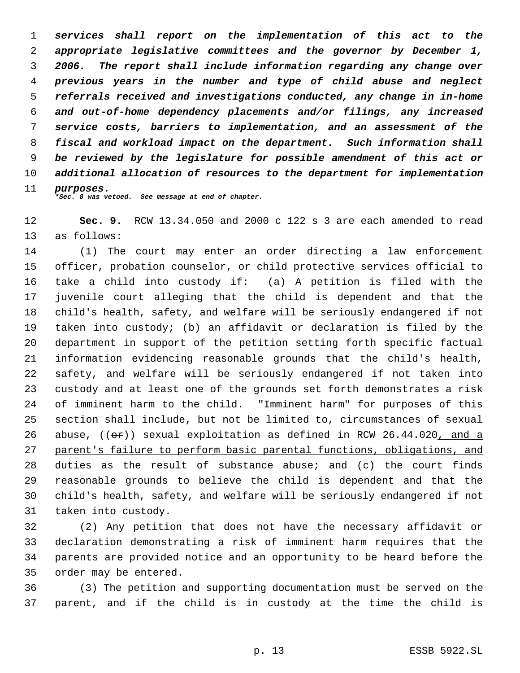*services shall report on the implementation of this act to the appropriate legislative committees and the governor by December 1, 2006. The report shall include information regarding any change over previous years in the number and type of child abuse and neglect referrals received and investigations conducted, any change in in-home and out-of-home dependency placements and/or filings, any increased service costs, barriers to implementation, and an assessment of the fiscal and workload impact on the department. Such information shall be reviewed by the legislature for possible amendment of this act or additional allocation of resources to the department for implementation purposes. \*Sec. 8 was vetoed. See message at end of chapter.*

**Sec. 9.** RCW 13.34.050 and 2000 c 122 s 3 are each amended to read

as follows:

 (1) The court may enter an order directing a law enforcement officer, probation counselor, or child protective services official to take a child into custody if: (a) A petition is filed with the juvenile court alleging that the child is dependent and that the child's health, safety, and welfare will be seriously endangered if not taken into custody; (b) an affidavit or declaration is filed by the department in support of the petition setting forth specific factual information evidencing reasonable grounds that the child's health, safety, and welfare will be seriously endangered if not taken into custody and at least one of the grounds set forth demonstrates a risk of imminent harm to the child. "Imminent harm" for purposes of this section shall include, but not be limited to, circumstances of sexual 26 abuse,  $((\theta \cdot \hat{r}))$  sexual exploitation as defined in RCW 26.44.020, and a parent's failure to perform basic parental functions, obligations, and duties as the result of substance abuse; and (c) the court finds reasonable grounds to believe the child is dependent and that the child's health, safety, and welfare will be seriously endangered if not taken into custody.

 (2) Any petition that does not have the necessary affidavit or declaration demonstrating a risk of imminent harm requires that the parents are provided notice and an opportunity to be heard before the order may be entered.

 (3) The petition and supporting documentation must be served on the parent, and if the child is in custody at the time the child is